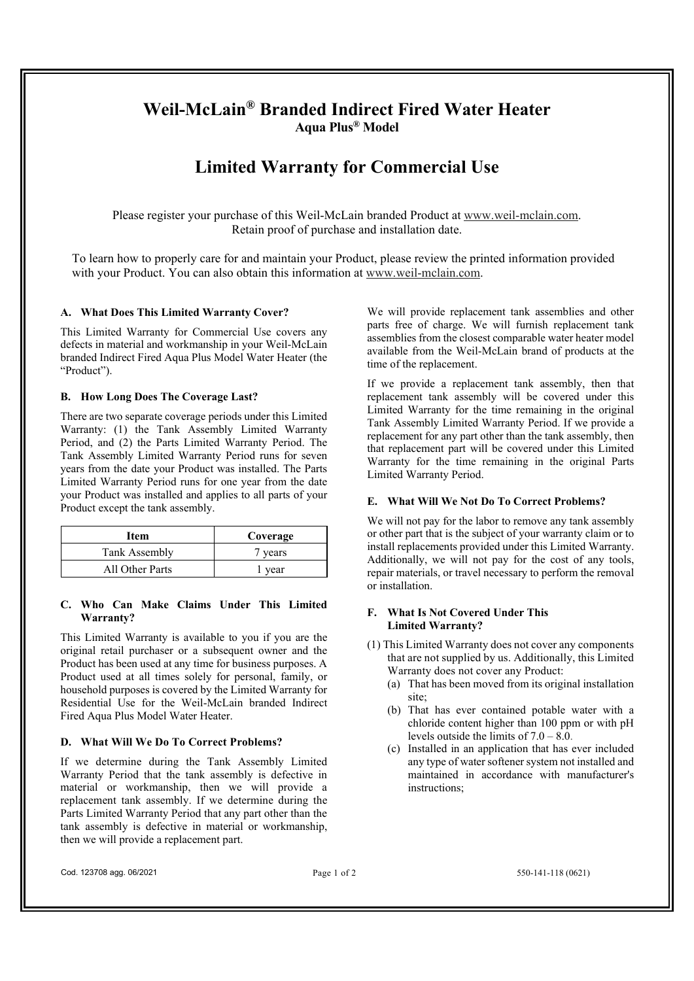# **Weil-McLain® Branded Indirect Fired Water Heater Aqua Plus® Model**

# **Limited Warranty for Commercial Use**

Please register your purchase of this Weil-McLain branded Product at www.weil-mclain.com. Retain proof of purchase and installation date.

To learn how to properly care for and maintain your Product, please review the printed information provided with your Product. You can also obtain this information at www.weil-mclain.com.

### **A. What Does This Limited Warranty Cover?**

This Limited Warranty for Commercial Use covers any defects in material and workmanship in your Weil-McLain branded Indirect Fired Aqua Plus Model Water Heater (the "Product").

#### **B. How Long Does The Coverage Last?**

There are two separate coverage periods under this Limited Warranty: (1) the Tank Assembly Limited Warranty Period, and (2) the Parts Limited Warranty Period. The Tank Assembly Limited Warranty Period runs for seven years from the date your Product was installed. The Parts Limited Warranty Period runs for one year from the date your Product was installed and applies to all parts of your Product except the tank assembly.

| Item            | Coverage |
|-----------------|----------|
| Tank Assembly   | 7 years  |
| All Other Parts | r year   |

### **C. Who Can Make Claims Under This Limited Warranty?**

This Limited Warranty is available to you if you are the original retail purchaser or a subsequent owner and the Product has been used at any time for business purposes. A Product used at all times solely for personal, family, or household purposes is covered by the Limited Warranty for Residential Use for the Weil-McLain branded Indirect Fired Aqua Plus Model Water Heater.

#### **D. What Will We Do To Correct Problems?**

If we determine during the Tank Assembly Limited Warranty Period that the tank assembly is defective in material or workmanship, then we will provide a replacement tank assembly. If we determine during the Parts Limited Warranty Period that any part other than the tank assembly is defective in material or workmanship, then we will provide a replacement part.

We will provide replacement tank assemblies and other parts free of charge. We will furnish replacement tank assemblies from the closest comparable water heater model available from the Weil-McLain brand of products at the time of the replacement.

If we provide a replacement tank assembly, then that replacement tank assembly will be covered under this Limited Warranty for the time remaining in the original Tank Assembly Limited Warranty Period. If we provide a replacement for any part other than the tank assembly, then that replacement part will be covered under this Limited Warranty for the time remaining in the original Parts Limited Warranty Period.

#### **E. What Will We Not Do To Correct Problems?**

We will not pay for the labor to remove any tank assembly or other part that is the subject of your warranty claim or to install replacements provided under this Limited Warranty. Additionally, we will not pay for the cost of any tools, repair materials, or travel necessary to perform the removal or installation.

#### **F. What Is Not Covered Under This Limited Warranty?**

- (1) This Limited Warranty does not cover any components that are not supplied by us. Additionally, this Limited Warranty does not cover any Product:
	- (a) That has been moved from its original installation site:
	- (b) That has ever contained potable water with a chloride content higher than 100 ppm or with pH levels outside the limits of  $7.0 - 8.0$ .
	- (c) Installed in an application that has ever included any type of water softener system not installed and maintained in accordance with manufacturer's instructions;

Cod. 123708 agg. 06/2021 **Page 1 of 2** 550-141-118 (0621)